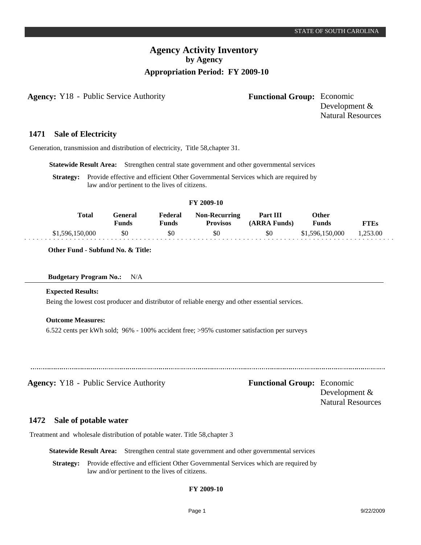## **Agency Activity Inventory by Agency Appropriation Period: FY 2009-10**

**Agency:** Y18 - Public Service Authority **Functional Group:** Economic

Development & Natural Resources

#### **Sale of Electricity 1471**

Generation, transmission and distribution of electricity, Title 58,chapter 31.

**Statewide Result Area:** Strengthen central state government and other governmental services

**Strategy:** Provide effective and efficient Other Governmental Services which are required by law and/or pertinent to the lives of citizens.

| FY 2009-10      |                  |                         |                                         |                          |                       |             |
|-----------------|------------------|-------------------------|-----------------------------------------|--------------------------|-----------------------|-------------|
| <b>Total</b>    | General<br>Funds | Federal<br><b>Funds</b> | <b>Non-Recurring</b><br><b>Provisos</b> | Part III<br>(ARRA Funds) | Other<br><b>Funds</b> | <b>FTEs</b> |
| \$1,596,150,000 | \$0              | \$0                     | \$0                                     | \$0                      | \$1,596,150,000       | 1,253.00    |

**Other Fund - Subfund No. & Title:**

## **Budgetary Program No.:** N/A

#### **Expected Results:**

Being the lowest cost producer and distributor of reliable energy and other essential services.

## **Outcome Measures:**

6.522 cents per kWh sold; 96% - 100% accident free; >95% customer satisfaction per surveys

**Agency:** Y18 - Public Service Authority **- Functional Group:** Economic

Development & Natural Resources

#### **Sale of potable water 1472**

Treatment and wholesale distribution of potable water. Title 58,chapter 3

**Statewide Result Area:** Strengthen central state government and other governmental services

**Strategy:** Provide effective and efficient Other Governmental Services which are required by law and/or pertinent to the lives of citizens.

## **FY 2009-10**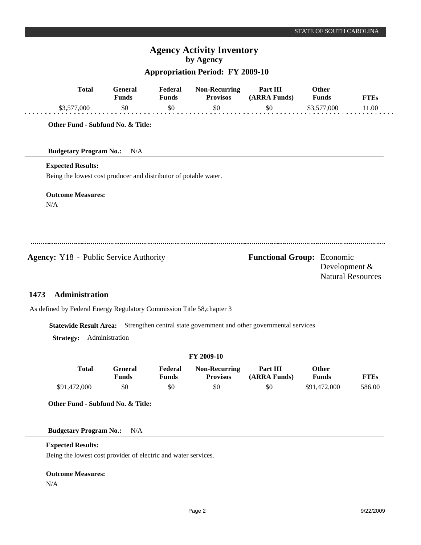## **Agency Activity Inventory by Agency**

## **Appropriation Period: FY 2009-10**

| <b>Total</b>                                                           | <b>General</b><br><b>Funds</b> | Federal<br><b>Funds</b> | <b>Non-Recurring</b><br><b>Provisos</b> | Part III<br>(ARRA Funds)                                                                   | Other<br><b>Funds</b> | <b>FTEs</b>              |
|------------------------------------------------------------------------|--------------------------------|-------------------------|-----------------------------------------|--------------------------------------------------------------------------------------------|-----------------------|--------------------------|
| \$3,577,000                                                            | \$0                            | \$0                     | \$0                                     | \$0                                                                                        | \$3,577,000           | 11.00                    |
| Other Fund - Subfund No. & Title:                                      |                                |                         |                                         |                                                                                            |                       |                          |
| <b>Budgetary Program No.:</b>                                          | N/A                            |                         |                                         |                                                                                            |                       |                          |
| <b>Expected Results:</b>                                               |                                |                         |                                         |                                                                                            |                       |                          |
| Being the lowest cost producer and distributor of potable water.       |                                |                         |                                         |                                                                                            |                       |                          |
| <b>Outcome Measures:</b>                                               |                                |                         |                                         |                                                                                            |                       |                          |
| N/A                                                                    |                                |                         |                                         |                                                                                            |                       |                          |
|                                                                        |                                |                         |                                         |                                                                                            |                       |                          |
|                                                                        |                                |                         |                                         |                                                                                            |                       |                          |
| <b>Agency:</b> Y18 - Public Service Authority                          |                                |                         |                                         | <b>Functional Group:</b> Economic                                                          | Development &         | <b>Natural Resources</b> |
| <b>Administration</b><br>1473                                          |                                |                         |                                         |                                                                                            |                       |                          |
| As defined by Federal Energy Regulatory Commission Title 58, chapter 3 |                                |                         |                                         |                                                                                            |                       |                          |
|                                                                        |                                |                         |                                         | Statewide Result Area: Strengthen central state government and other governmental services |                       |                          |
| <b>Strategy:</b>                                                       | Administration                 |                         |                                         |                                                                                            |                       |                          |
|                                                                        |                                |                         | FY 2009-10                              |                                                                                            |                       |                          |

| Total        | General<br>Funds | Federal<br>Funds | <b>Non-Recurring</b><br><b>Provisos</b> | Part III<br>(ARRA Funds) | Other<br>Funds | <b>FTEs</b> |
|--------------|------------------|------------------|-----------------------------------------|--------------------------|----------------|-------------|
| \$91,472,000 | \$0              | \$0              | \$0                                     | \$0                      | \$91.472,000   | 586.00      |

**Other Fund - Subfund No. & Title:**

**Budgetary Program No.:** N/A

### **Expected Results:**

Being the lowest cost provider of electric and water services.

## **Outcome Measures:**

N/A